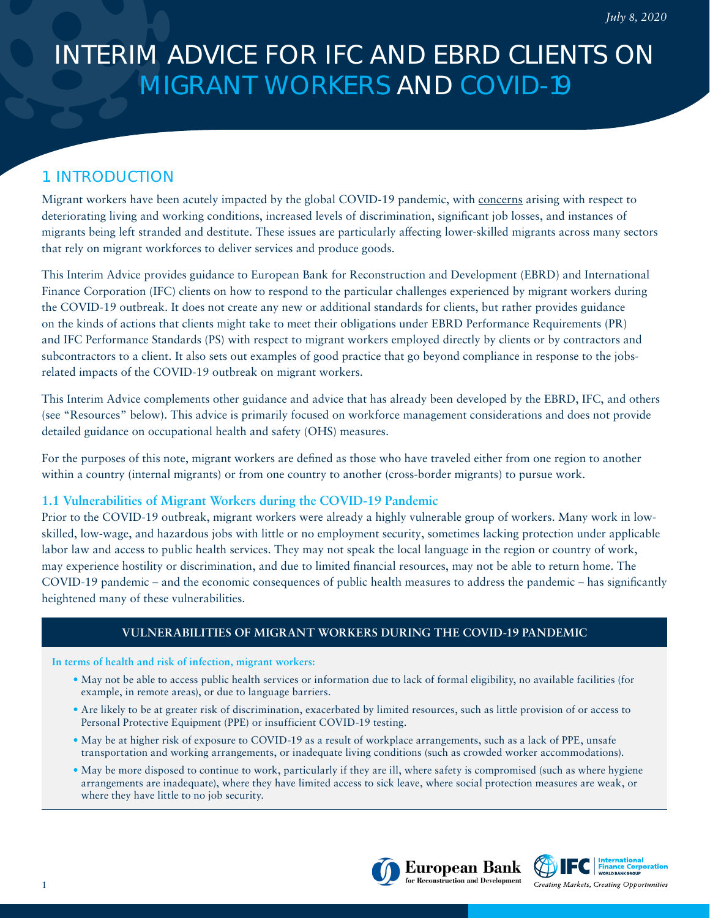# INTERIM ADVICE FOR IFC AND EBRD CLIENTS ON MIGRANT WORKERS AND COVID-19

# 1. INTRODUCTION

Migrant workers have been acutely impacted by the global COVID-19 pandemic, with [concerns](https://www.ilo.org/wcmsp5/groups/public/---ed_protect/---protrav/---migrant/documents/publication/wcms_743268.pdf) arising with respect to deteriorating living and working conditions, increased levels of discrimination, significant job losses, and instances of migrants being left stranded and destitute. These issues are particularly affecting lower-skilled migrants across many sectors that rely on migrant workforces to deliver services and produce goods.

This Interim Advice provides guidance to European Bank for Reconstruction and Development (EBRD) and International Finance Corporation (IFC) clients on how to respond to the particular challenges experienced by migrant workers during the COVID-19 outbreak. It does not create any new or additional standards for clients, but rather provides guidance on the kinds of actions that clients might take to meet their obligations under EBRD Performance Requirements (PR) and IFC Performance Standards (PS) with respect to migrant workers employed directly by clients or by contractors and subcontractors to a client. It also sets out examples of good practice that go beyond compliance in response to the jobsrelated impacts of the COVID-19 outbreak on migrant workers.

This Interim Advice complements other guidance and advice that has already been developed by the EBRD, IFC, and others (see "Resources" below). This advice is primarily focused on workforce management considerations and does not provide detailed guidance on occupational health and safety (OHS) measures.

For the purposes of this note, migrant workers are defined as those who have traveled either from one region to another within a country (internal migrants) or from one country to another (cross-border migrants) to pursue work.

# **1.1 Vulnerabilities of Migrant Workers during the COVID-19 Pandemic**

Prior to the COVID-19 outbreak, migrant workers were already a highly vulnerable group of workers. Many work in lowskilled, low-wage, and hazardous jobs with little or no employment security, sometimes lacking protection under applicable labor law and access to public health services. They may not speak the local language in the region or country of work, may experience hostility or discrimination, and due to limited financial resources, may not be able to return home. The COVID-19 pandemic – and the economic consequences of public health measures to address the pandemic – has significantly heightened many of these vulnerabilities.

# **VULNERABILITIES OF MIGRANT WORKERS DURING THE COVID-19 PANDEMIC**

#### **In terms of health and risk of infection, migrant workers:**

- May not be able to access public health services or information due to lack of formal eligibility, no available facilities (for example, in remote areas), or due to language barriers.
- Are likely to be at greater risk of discrimination, exacerbated by limited resources, such as little provision of or access to Personal Protective Equipment (PPE) or insufficient COVID-19 testing.
- May be at higher risk of exposure to COVID-19 as a result of workplace arrangements, such as a lack of PPE, unsafe transportation and working arrangements, or inadequate living conditions (such as crowded worker accommodations).
- May be more disposed to continue to work, particularly if they are ill, where safety is compromised (such as where hygiene arrangements are inadequate), where they have limited access to sick leave, where social protection measures are weak, or where they have little to no job security.



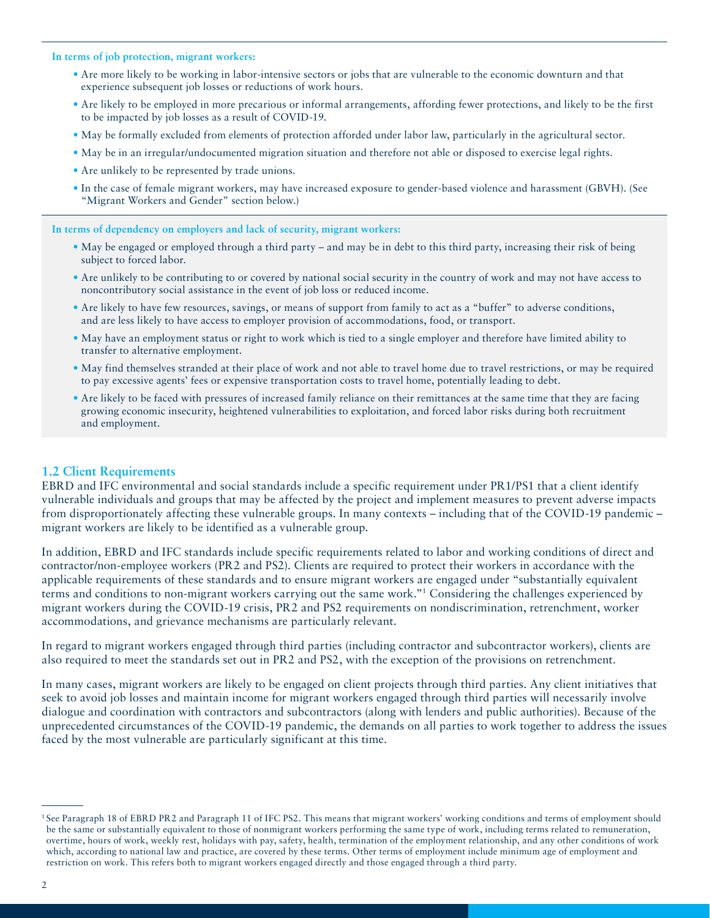**In terms of job protection, migrant workers:**

- Are more likely to be working in labor-intensive sectors or jobs that are vulnerable to the economic downturn and that experience subsequent job losses or reductions of work hours.
- Are likely to be employed in more precarious or informal arrangements, affording fewer protections, and likely to be the first to be impacted by job losses as a result of COVID-19.
- May be formally excluded from elements of protection afforded under labor law, particularly in the agricultural sector.
- May be in an irregular/undocumented migration situation and therefore not able or disposed to exercise legal rights.
- Are unlikely to be represented by trade unions.
- In the case of female migrant workers, may have increased exposure to gender-based violence and harassment (GBVH). (See "Migrant Workers and Gender" section below.)

**In terms of dependency on employers and lack of security, migrant workers:**

- May be engaged or employed through a third party and may be in debt to this third party, increasing their risk of being subject to forced labor.
- Are unlikely to be contributing to or covered by national social security in the country of work and may not have access to noncontributory social assistance in the event of job loss or reduced income.
- Are likely to have few resources, savings, or means of support from family to act as a "buffer" to adverse conditions, and are less likely to have access to employer provision of accommodations, food, or transport.
- May have an employment status or right to work which is tied to a single employer and therefore have limited ability to transfer to alternative employment.
- May find themselves stranded at their place of work and not able to travel home due to travel restrictions, or may be required to pay excessive agents' fees or expensive transportation costs to travel home, potentially leading to debt.
- Are likely to be faced with pressures of increased family reliance on their remittances at the same time that they are facing growing economic insecurity, heightened vulnerabilities to exploitation, and forced labor risks during both recruitment and employment.

#### **1.2 Client Requirements**

EBRD and IFC environmental and social standards include a specific requirement under PR1/PS1 that a client identify vulnerable individuals and groups that may be affected by the project and implement measures to prevent adverse impacts from disproportionately affecting these vulnerable groups. In many contexts – including that of the COVID-19 pandemic – migrant workers are likely to be identified as a vulnerable group.

In addition, EBRD and IFC standards include specific requirements related to labor and working conditions of direct and contractor/non-employee workers (PR2 and PS2). Clients are required to protect their workers in accordance with the applicable requirements of these standards and to ensure migrant workers are engaged under "substantially equivalent terms and conditions to non-migrant workers carrying out the same work."1 Considering the challenges experienced by migrant workers during the COVID-19 crisis, PR2 and PS2 requirements on nondiscrimination, retrenchment, worker accommodations, and grievance mechanisms are particularly relevant.

In regard to migrant workers engaged through third parties (including contractor and subcontractor workers), clients are also required to meet the standards set out in PR2 and PS2, with the exception of the provisions on retrenchment.

In many cases, migrant workers are likely to be engaged on client projects through third parties. Any client initiatives that seek to avoid job losses and maintain income for migrant workers engaged through third parties will necessarily involve dialogue and coordination with contractors and subcontractors (along with lenders and public authorities). Because of the unprecedented circumstances of the COVID-19 pandemic, the demands on all parties to work together to address the issues faced by the most vulnerable are particularly significant at this time.

<sup>&</sup>lt;sup>1</sup> See Paragraph 18 of EBRD PR2 and Paragraph 11 of IFC PS2. This means that migrant workers' working conditions and terms of employment should be the same or substantially equivalent to those of nonmigrant workers performing the same type of work, including terms related to remuneration, overtime, hours of work, weekly rest, holidays with pay, safety, health, termination of the employment relationship, and any other conditions of work which, according to national law and practice, are covered by these terms. Other terms of employment include minimum age of employment and restriction on work. This refers both to migrant workers engaged directly and those engaged through a third party.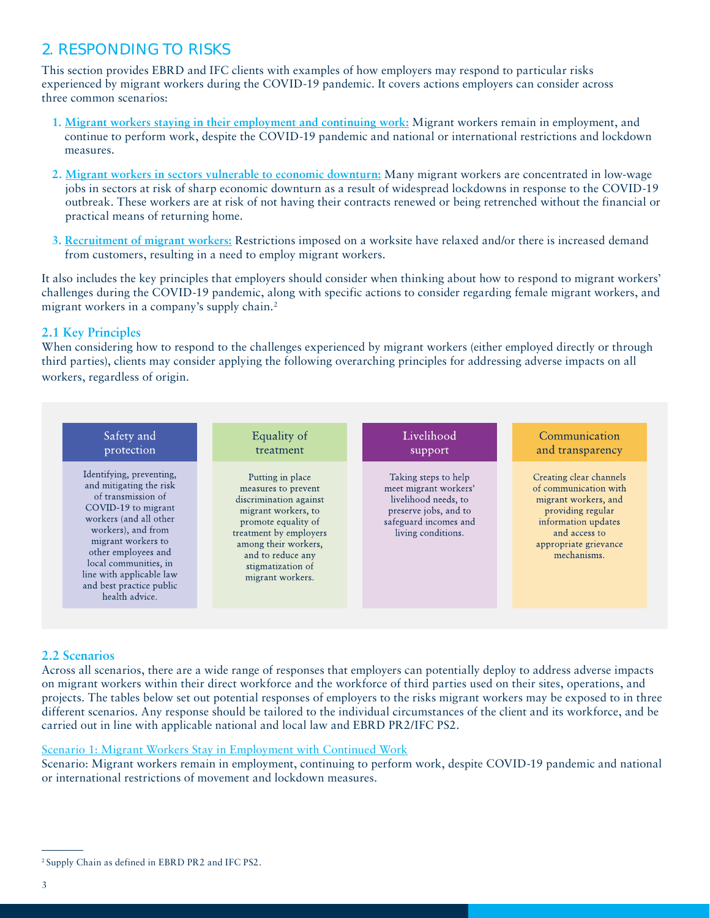# 2. RESPONDING TO RISKS

This section provides EBRD and IFC clients with examples of how employers may respond to particular risks experienced by migrant workers during the COVID-19 pandemic. It covers actions employers can consider across three common scenarios:

- **1. Migrant workers staying in their employment and continuing work:** Migrant workers remain in employment, and continue to perform work, despite the COVID-19 pandemic and national or international restrictions and lockdown measures.
- **2. Migrant workers in sectors vulnerable to economic downturn:** Many migrant workers are concentrated in low-wage jobs in sectors at risk of sharp economic downturn as a result of widespread lockdowns in response to the COVID-19 outbreak. These workers are at risk of not having their contracts renewed or being retrenched without the financial or practical means of returning home.
- **3. Recruitment of migrant workers:** Restrictions imposed on a worksite have relaxed and/or there is increased demand from customers, resulting in a need to employ migrant workers.

It also includes the key principles that employers should consider when thinking about how to respond to migrant workers' challenges during the COVID-19 pandemic, along with specific actions to consider regarding female migrant workers, and migrant workers in a company's supply chain.2

# **2.1 Key Principles**

When considering how to respond to the challenges experienced by migrant workers (either employed directly or through third parties), clients may consider applying the following overarching principles for addressing adverse impacts on all workers, regardless of origin.



# **2.2 Scenarios**

Across all scenarios, there are a wide range of responses that employers can potentially deploy to address adverse impacts on migrant workers within their direct workforce and the workforce of third parties used on their sites, operations, and projects. The tables below set out potential responses of employers to the risks migrant workers may be exposed to in three different scenarios. Any response should be tailored to the individual circumstances of the client and its workforce, and be carried out in line with applicable national and local law and EBRD PR2/IFC PS2.

### Scenario 1: Migrant Workers Stay in Employment with Continued Work

Scenario: Migrant workers remain in employment, continuing to perform work, despite COVID-19 pandemic and national or international restrictions of movement and lockdown measures.

<sup>2</sup> Supply Chain as defined in EBRD PR2 and IFC PS2.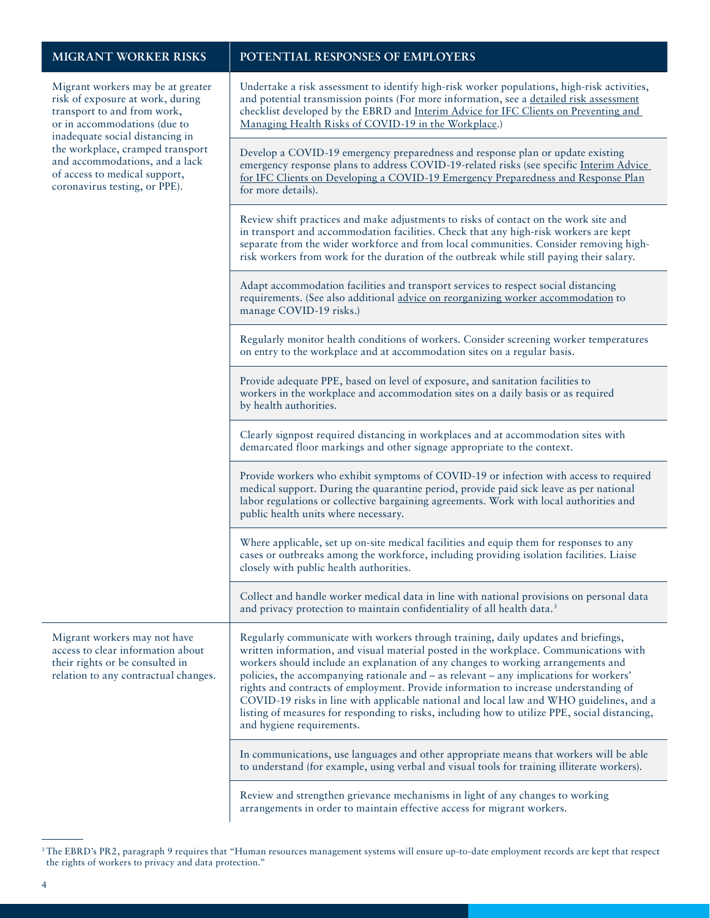Migrant workers may be at greater risk of tran or in inad the workplace, cramped transport and of a coro

### **MIGRANT WORKER RISKS POTENTIAL RESPONSES OF EMPLOYERS**

Undertake a risk assessment to identify high-risk worker populations, high-risk activities,

| risk of exposure at work, during<br>transport to and from work,<br>or in accommodations (due to<br>inadequate social distancing in<br>the workplace, cramped transport<br>and accommodations, and a lack<br>of access to medical support,<br>coronavirus testing, or PPE). | and potential transmission points (For more information, see a detailed risk assessment<br>checklist developed by the EBRD and Interim Advice for IFC Clients on Preventing and<br>Managing Health Risks of COVID-19 in the Workplace.)                                                                                                                                                                                                                                                                                                                                                                                                                                   |
|----------------------------------------------------------------------------------------------------------------------------------------------------------------------------------------------------------------------------------------------------------------------------|---------------------------------------------------------------------------------------------------------------------------------------------------------------------------------------------------------------------------------------------------------------------------------------------------------------------------------------------------------------------------------------------------------------------------------------------------------------------------------------------------------------------------------------------------------------------------------------------------------------------------------------------------------------------------|
|                                                                                                                                                                                                                                                                            | Develop a COVID-19 emergency preparedness and response plan or update existing<br>emergency response plans to address COVID-19-related risks (see specific Interim Advice<br>for IFC Clients on Developing a COVID-19 Emergency Preparedness and Response Plan<br>for more details).                                                                                                                                                                                                                                                                                                                                                                                      |
|                                                                                                                                                                                                                                                                            | Review shift practices and make adjustments to risks of contact on the work site and<br>in transport and accommodation facilities. Check that any high-risk workers are kept<br>separate from the wider workforce and from local communities. Consider removing high-<br>risk workers from work for the duration of the outbreak while still paying their salary.                                                                                                                                                                                                                                                                                                         |
|                                                                                                                                                                                                                                                                            | Adapt accommodation facilities and transport services to respect social distancing<br>requirements. (See also additional advice on reorganizing worker accommodation to<br>manage COVID-19 risks.)                                                                                                                                                                                                                                                                                                                                                                                                                                                                        |
|                                                                                                                                                                                                                                                                            | Regularly monitor health conditions of workers. Consider screening worker temperatures<br>on entry to the workplace and at accommodation sites on a regular basis.                                                                                                                                                                                                                                                                                                                                                                                                                                                                                                        |
|                                                                                                                                                                                                                                                                            | Provide adequate PPE, based on level of exposure, and sanitation facilities to<br>workers in the workplace and accommodation sites on a daily basis or as required<br>by health authorities.                                                                                                                                                                                                                                                                                                                                                                                                                                                                              |
|                                                                                                                                                                                                                                                                            | Clearly signpost required distancing in workplaces and at accommodation sites with<br>demarcated floor markings and other signage appropriate to the context.                                                                                                                                                                                                                                                                                                                                                                                                                                                                                                             |
|                                                                                                                                                                                                                                                                            | Provide workers who exhibit symptoms of COVID-19 or infection with access to required<br>medical support. During the quarantine period, provide paid sick leave as per national<br>labor regulations or collective bargaining agreements. Work with local authorities and<br>public health units where necessary.                                                                                                                                                                                                                                                                                                                                                         |
|                                                                                                                                                                                                                                                                            | Where applicable, set up on-site medical facilities and equip them for responses to any<br>cases or outbreaks among the workforce, including providing isolation facilities. Liaise<br>closely with public health authorities.                                                                                                                                                                                                                                                                                                                                                                                                                                            |
|                                                                                                                                                                                                                                                                            | Collect and handle worker medical data in line with national provisions on personal data<br>and privacy protection to maintain confidentiality of all health data. <sup>3</sup>                                                                                                                                                                                                                                                                                                                                                                                                                                                                                           |
| Migrant workers may not have<br>access to clear information about<br>their rights or be consulted in<br>relation to any contractual changes.                                                                                                                               | Regularly communicate with workers through training, daily updates and briefings,<br>written information, and visual material posted in the workplace. Communications with<br>workers should include an explanation of any changes to working arrangements and<br>policies, the accompanying rationale and - as relevant - any implications for workers'<br>rights and contracts of employment. Provide information to increase understanding of<br>COVID-19 risks in line with applicable national and local law and WHO guidelines, and a<br>listing of measures for responding to risks, including how to utilize PPE, social distancing,<br>and hygiene requirements. |
|                                                                                                                                                                                                                                                                            | In communications, use languages and other appropriate means that workers will be able<br>to understand (for example, using verbal and visual tools for training illiterate workers).                                                                                                                                                                                                                                                                                                                                                                                                                                                                                     |
|                                                                                                                                                                                                                                                                            | Review and strengthen grievance mechanisms in light of any changes to working<br>arrangements in order to maintain effective access for migrant workers.                                                                                                                                                                                                                                                                                                                                                                                                                                                                                                                  |

<sup>&</sup>lt;sup>3</sup>The EBRD's PR2, paragraph 9 requires that "Human resources management systems will ensure up-to-date employment records are kept that respect the rights of workers to privacy and data protection."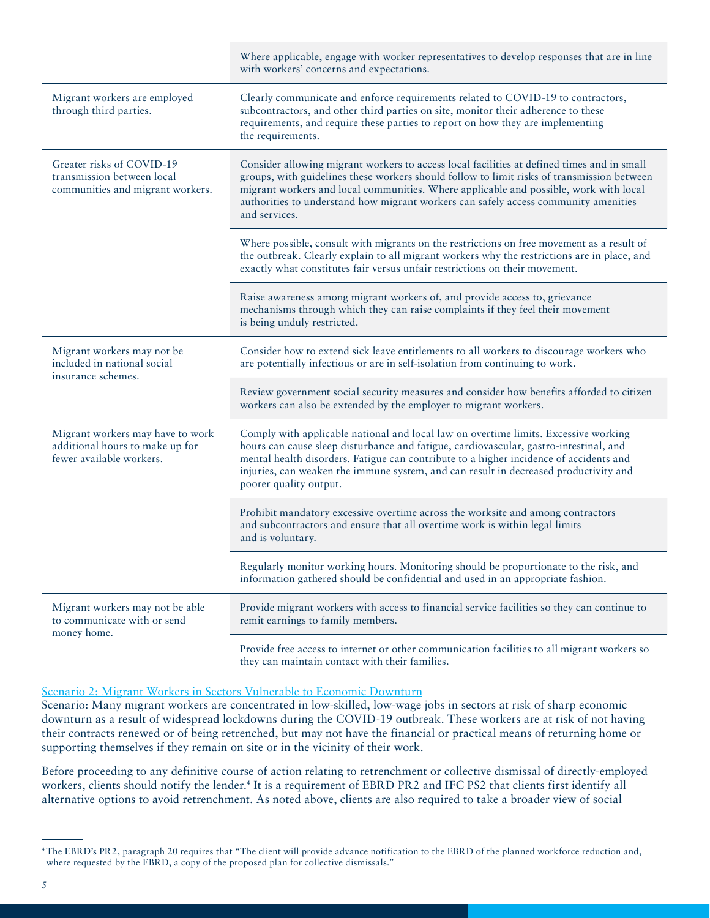|                                                                                                 | Where applicable, engage with worker representatives to develop responses that are in line<br>with workers' concerns and expectations.                                                                                                                                                                                                                                                    |
|-------------------------------------------------------------------------------------------------|-------------------------------------------------------------------------------------------------------------------------------------------------------------------------------------------------------------------------------------------------------------------------------------------------------------------------------------------------------------------------------------------|
| Migrant workers are employed<br>through third parties.                                          | Clearly communicate and enforce requirements related to COVID-19 to contractors,<br>subcontractors, and other third parties on site, monitor their adherence to these<br>requirements, and require these parties to report on how they are implementing<br>the requirements.                                                                                                              |
| Greater risks of COVID-19<br>transmission between local<br>communities and migrant workers.     | Consider allowing migrant workers to access local facilities at defined times and in small<br>groups, with guidelines these workers should follow to limit risks of transmission between<br>migrant workers and local communities. Where applicable and possible, work with local<br>authorities to understand how migrant workers can safely access community amenities<br>and services. |
|                                                                                                 | Where possible, consult with migrants on the restrictions on free movement as a result of<br>the outbreak. Clearly explain to all migrant workers why the restrictions are in place, and<br>exactly what constitutes fair versus unfair restrictions on their movement.                                                                                                                   |
|                                                                                                 | Raise awareness among migrant workers of, and provide access to, grievance<br>mechanisms through which they can raise complaints if they feel their movement<br>is being unduly restricted.                                                                                                                                                                                               |
| Migrant workers may not be<br>included in national social<br>insurance schemes.                 | Consider how to extend sick leave entitlements to all workers to discourage workers who<br>are potentially infectious or are in self-isolation from continuing to work.                                                                                                                                                                                                                   |
|                                                                                                 | Review government social security measures and consider how benefits afforded to citizen<br>workers can also be extended by the employer to migrant workers.                                                                                                                                                                                                                              |
| Migrant workers may have to work<br>additional hours to make up for<br>fewer available workers. | Comply with applicable national and local law on overtime limits. Excessive working<br>hours can cause sleep disturbance and fatigue, cardiovascular, gastro-intestinal, and<br>mental health disorders. Fatigue can contribute to a higher incidence of accidents and<br>injuries, can weaken the immune system, and can result in decreased productivity and<br>poorer quality output.  |
|                                                                                                 | Prohibit mandatory excessive overtime across the worksite and among contractors<br>and subcontractors and ensure that all overtime work is within legal limits<br>and is voluntary.                                                                                                                                                                                                       |
|                                                                                                 | Regularly monitor working hours. Monitoring should be proportionate to the risk, and<br>information gathered should be confidential and used in an appropriate fashion.                                                                                                                                                                                                                   |
| Migrant workers may not be able<br>to communicate with or send<br>money home.                   | Provide migrant workers with access to financial service facilities so they can continue to<br>remit earnings to family members.                                                                                                                                                                                                                                                          |
|                                                                                                 | Provide free access to internet or other communication facilities to all migrant workers so<br>they can maintain contact with their families.                                                                                                                                                                                                                                             |

### Scenario 2: Migrant Workers in Sectors Vulnerable to Economic Downturn

Scenario: Many migrant workers are concentrated in low-skilled, low-wage jobs in sectors at risk of sharp economic downturn as a result of widespread lockdowns during the COVID-19 outbreak. These workers are at risk of not having their contracts renewed or of being retrenched, but may not have the financial or practical means of returning home or supporting themselves if they remain on site or in the vicinity of their work.

Before proceeding to any definitive course of action relating to retrenchment or collective dismissal of directly-employed workers, clients should notify the lender.<sup>4</sup> It is a requirement of EBRD PR2 and IFC PS2 that clients first identify all alternative options to avoid retrenchment. As noted above, clients are also required to take a broader view of social

<sup>4</sup> The EBRD's PR2, paragraph 20 requires that "The client will provide advance notification to the EBRD of the planned workforce reduction and, where requested by the EBRD, a copy of the proposed plan for collective dismissals."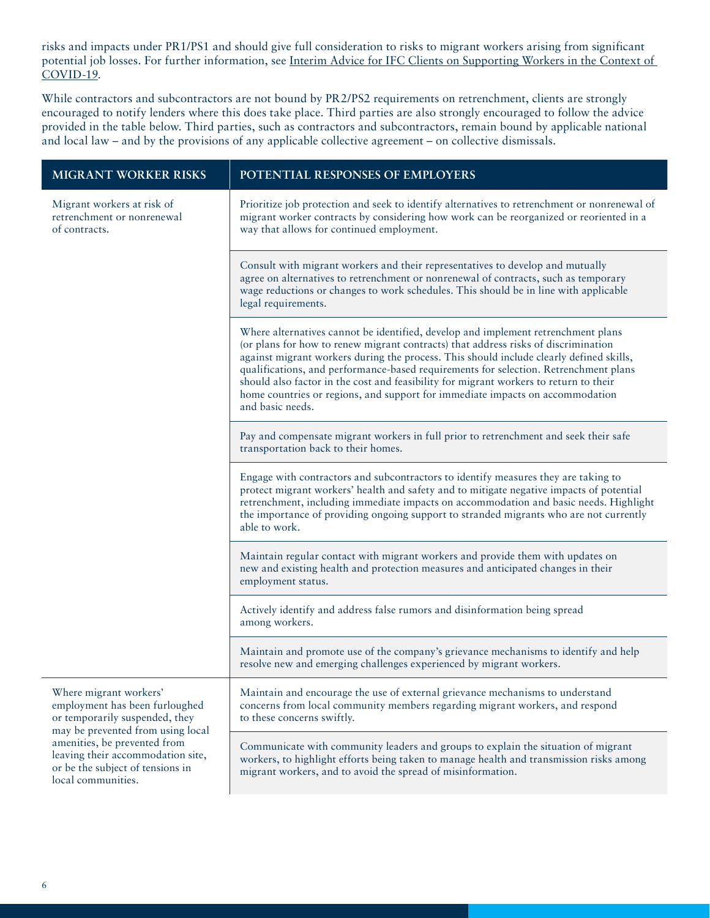risks and impacts under PR1/PS1 and should give full consideration to risks to migrant workers arising from significant potential job losses. For further information, see [Interim Advice for IFC Clients on Supporting Workers in the Context of](https://www.ifc.org/wps/wcm/connect/topics_ext_content/ifc_external_corporate_site/sustainability-at-ifc/publications/publications_tipsheet_covid-19_supportingworkers)  [COVID-19](https://www.ifc.org/wps/wcm/connect/topics_ext_content/ifc_external_corporate_site/sustainability-at-ifc/publications/publications_tipsheet_covid-19_supportingworkers).

While contractors and subcontractors are not bound by PR2/PS2 requirements on retrenchment, clients are strongly encouraged to notify lenders where this does take place. Third parties are also strongly encouraged to follow the advice provided in the table below. Third parties, such as contractors and subcontractors, remain bound by applicable national and local law – and by the provisions of any applicable collective agreement – on collective dismissals.

| <b>MIGRANT WORKER RISKS</b>                                                                                                                                                                                                              | POTENTIAL RESPONSES OF EMPLOYERS                                                                                                                                                                                                                                                                                                                                                                                                                                                                                                                         |
|------------------------------------------------------------------------------------------------------------------------------------------------------------------------------------------------------------------------------------------|----------------------------------------------------------------------------------------------------------------------------------------------------------------------------------------------------------------------------------------------------------------------------------------------------------------------------------------------------------------------------------------------------------------------------------------------------------------------------------------------------------------------------------------------------------|
| Migrant workers at risk of<br>retrenchment or nonrenewal<br>of contracts.                                                                                                                                                                | Prioritize job protection and seek to identify alternatives to retrenchment or nonrenewal of<br>migrant worker contracts by considering how work can be reorganized or reoriented in a<br>way that allows for continued employment.                                                                                                                                                                                                                                                                                                                      |
|                                                                                                                                                                                                                                          | Consult with migrant workers and their representatives to develop and mutually<br>agree on alternatives to retrenchment or nonrenewal of contracts, such as temporary<br>wage reductions or changes to work schedules. This should be in line with applicable<br>legal requirements.                                                                                                                                                                                                                                                                     |
|                                                                                                                                                                                                                                          | Where alternatives cannot be identified, develop and implement retrenchment plans<br>(or plans for how to renew migrant contracts) that address risks of discrimination<br>against migrant workers during the process. This should include clearly defined skills,<br>qualifications, and performance-based requirements for selection. Retrenchment plans<br>should also factor in the cost and feasibility for migrant workers to return to their<br>home countries or regions, and support for immediate impacts on accommodation<br>and basic needs. |
|                                                                                                                                                                                                                                          | Pay and compensate migrant workers in full prior to retrenchment and seek their safe<br>transportation back to their homes.                                                                                                                                                                                                                                                                                                                                                                                                                              |
|                                                                                                                                                                                                                                          | Engage with contractors and subcontractors to identify measures they are taking to<br>protect migrant workers' health and safety and to mitigate negative impacts of potential<br>retrenchment, including immediate impacts on accommodation and basic needs. Highlight<br>the importance of providing ongoing support to stranded migrants who are not currently<br>able to work.                                                                                                                                                                       |
|                                                                                                                                                                                                                                          | Maintain regular contact with migrant workers and provide them with updates on<br>new and existing health and protection measures and anticipated changes in their<br>employment status.                                                                                                                                                                                                                                                                                                                                                                 |
|                                                                                                                                                                                                                                          | Actively identify and address false rumors and disinformation being spread<br>among workers.                                                                                                                                                                                                                                                                                                                                                                                                                                                             |
|                                                                                                                                                                                                                                          | Maintain and promote use of the company's grievance mechanisms to identify and help<br>resolve new and emerging challenges experienced by migrant workers.                                                                                                                                                                                                                                                                                                                                                                                               |
| Where migrant workers'<br>employment has been furloughed<br>or temporarily suspended, they<br>may be prevented from using local<br>amenities, be prevented from<br>leaving their accommodation site,<br>or be the subject of tensions in | Maintain and encourage the use of external grievance mechanisms to understand<br>concerns from local community members regarding migrant workers, and respond<br>to these concerns swiftly.                                                                                                                                                                                                                                                                                                                                                              |
|                                                                                                                                                                                                                                          | Communicate with community leaders and groups to explain the situation of migrant<br>workers, to highlight efforts being taken to manage health and transmission risks among<br>migrant workare, and to avoid the enroad of miginformation                                                                                                                                                                                                                                                                                                               |

migrant workers, and to avoid the spread of misinformation.

local communities.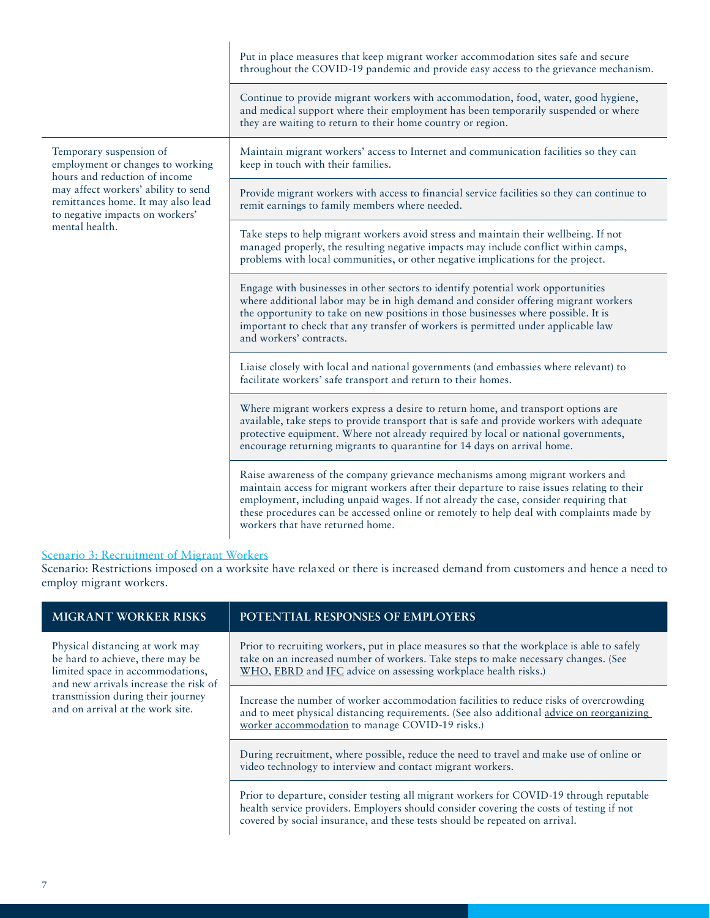|                                                                                                                                                                                                                                | Put in place measures that keep migrant worker accommodation sites safe and secure<br>throughout the COVID-19 pandemic and provide easy access to the grievance mechanism.                                                                                                                                                                                                                           |
|--------------------------------------------------------------------------------------------------------------------------------------------------------------------------------------------------------------------------------|------------------------------------------------------------------------------------------------------------------------------------------------------------------------------------------------------------------------------------------------------------------------------------------------------------------------------------------------------------------------------------------------------|
|                                                                                                                                                                                                                                | Continue to provide migrant workers with accommodation, food, water, good hygiene,<br>and medical support where their employment has been temporarily suspended or where<br>they are waiting to return to their home country or region.                                                                                                                                                              |
| Temporary suspension of<br>employment or changes to working<br>hours and reduction of income<br>may affect workers' ability to send<br>remittances home. It may also lead<br>to negative impacts on workers'<br>mental health. | Maintain migrant workers' access to Internet and communication facilities so they can<br>keep in touch with their families.                                                                                                                                                                                                                                                                          |
|                                                                                                                                                                                                                                | Provide migrant workers with access to financial service facilities so they can continue to<br>remit earnings to family members where needed.                                                                                                                                                                                                                                                        |
|                                                                                                                                                                                                                                | Take steps to help migrant workers avoid stress and maintain their wellbeing. If not<br>managed properly, the resulting negative impacts may include conflict within camps,<br>problems with local communities, or other negative implications for the project.                                                                                                                                      |
|                                                                                                                                                                                                                                | Engage with businesses in other sectors to identify potential work opportunities<br>where additional labor may be in high demand and consider offering migrant workers<br>the opportunity to take on new positions in those businesses where possible. It is<br>important to check that any transfer of workers is permitted under applicable law<br>and workers' contracts.                         |
|                                                                                                                                                                                                                                | Liaise closely with local and national governments (and embassies where relevant) to<br>facilitate workers' safe transport and return to their homes.                                                                                                                                                                                                                                                |
|                                                                                                                                                                                                                                | Where migrant workers express a desire to return home, and transport options are<br>available, take steps to provide transport that is safe and provide workers with adequate<br>protective equipment. Where not already required by local or national governments,<br>encourage returning migrants to quarantine for 14 days on arrival home.                                                       |
|                                                                                                                                                                                                                                | Raise awareness of the company grievance mechanisms among migrant workers and<br>maintain access for migrant workers after their departure to raise issues relating to their<br>employment, including unpaid wages. If not already the case, consider requiring that<br>these procedures can be accessed online or remotely to help deal with complaints made by<br>workers that have returned home. |

#### Scenario 3: Recruitment of Migrant Workers

Scenario: Restrictions imposed on a worksite have relaxed or there is increased demand from customers and hence a need to employ migrant workers.

| <b>MIGRANT WORKER RISKS</b>                                                                                                                                                                                               | POTENTIAL RESPONSES OF EMPLOYERS                                                                                                                                                                                                                                   |
|---------------------------------------------------------------------------------------------------------------------------------------------------------------------------------------------------------------------------|--------------------------------------------------------------------------------------------------------------------------------------------------------------------------------------------------------------------------------------------------------------------|
| Physical distancing at work may<br>be hard to achieve, there may be<br>limited space in accommodations,<br>and new arrivals increase the risk of<br>transmission during their journey<br>and on arrival at the work site. | Prior to recruiting workers, put in place measures so that the workplace is able to safely<br>take on an increased number of workers. Take steps to make necessary changes. (See<br>WHO, EBRD and IFC advice on assessing workplace health risks.)                 |
|                                                                                                                                                                                                                           | Increase the number of worker accommodation facilities to reduce risks of overcrowding<br>and to meet physical distancing requirements. (See also additional advice on reorganizing<br>worker accommodation to manage COVID-19 risks.)                             |
|                                                                                                                                                                                                                           | During recruitment, where possible, reduce the need to travel and make use of online or<br>video technology to interview and contact migrant workers.                                                                                                              |
|                                                                                                                                                                                                                           | Prior to departure, consider testing all migrant workers for COVID-19 through reputable<br>health service providers. Employers should consider covering the costs of testing if not<br>covered by social insurance, and these tests should be repeated on arrival. |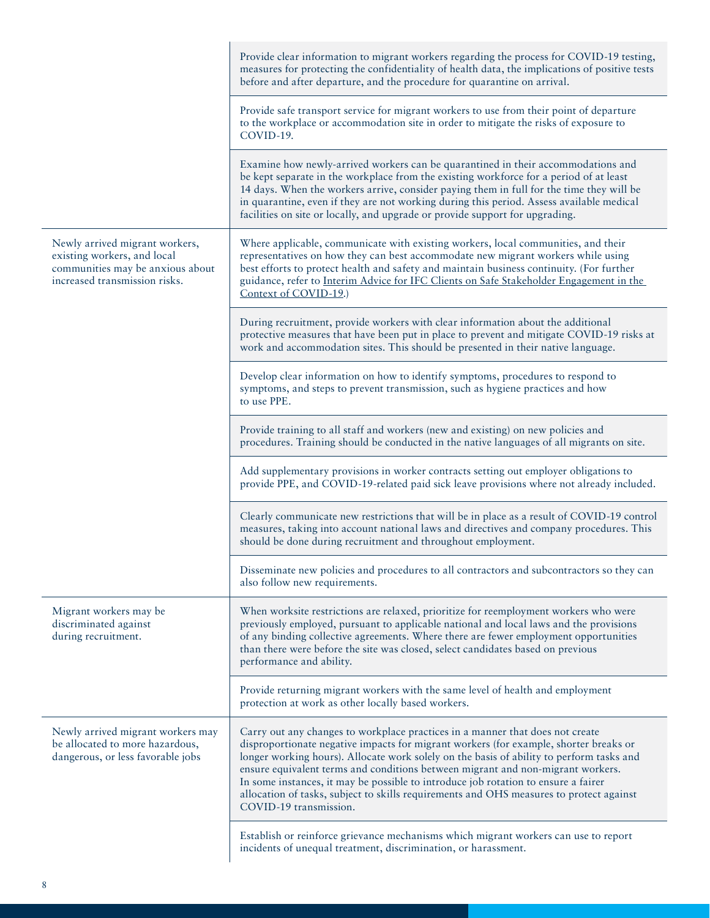|                                                                                                                                    | Provide clear information to migrant workers regarding the process for COVID-19 testing,<br>measures for protecting the confidentiality of health data, the implications of positive tests<br>before and after departure, and the procedure for quarantine on arrival.                                                                                                                                                                                                                                                                                           |
|------------------------------------------------------------------------------------------------------------------------------------|------------------------------------------------------------------------------------------------------------------------------------------------------------------------------------------------------------------------------------------------------------------------------------------------------------------------------------------------------------------------------------------------------------------------------------------------------------------------------------------------------------------------------------------------------------------|
| Newly arrived migrant workers,<br>existing workers, and local<br>communities may be anxious about<br>increased transmission risks. | Provide safe transport service for migrant workers to use from their point of departure<br>to the workplace or accommodation site in order to mitigate the risks of exposure to<br>COVID-19.                                                                                                                                                                                                                                                                                                                                                                     |
|                                                                                                                                    | Examine how newly-arrived workers can be quarantined in their accommodations and<br>be kept separate in the workplace from the existing workforce for a period of at least<br>14 days. When the workers arrive, consider paying them in full for the time they will be<br>in quarantine, even if they are not working during this period. Assess available medical<br>facilities on site or locally, and upgrade or provide support for upgrading.                                                                                                               |
|                                                                                                                                    | Where applicable, communicate with existing workers, local communities, and their<br>representatives on how they can best accommodate new migrant workers while using<br>best efforts to protect health and safety and maintain business continuity. (For further<br>guidance, refer to Interim Advice for IFC Clients on Safe Stakeholder Engagement in the<br>Context of COVID-19.)                                                                                                                                                                            |
|                                                                                                                                    | During recruitment, provide workers with clear information about the additional<br>protective measures that have been put in place to prevent and mitigate COVID-19 risks at<br>work and accommodation sites. This should be presented in their native language.                                                                                                                                                                                                                                                                                                 |
|                                                                                                                                    | Develop clear information on how to identify symptoms, procedures to respond to<br>symptoms, and steps to prevent transmission, such as hygiene practices and how<br>to use PPE.                                                                                                                                                                                                                                                                                                                                                                                 |
|                                                                                                                                    | Provide training to all staff and workers (new and existing) on new policies and<br>procedures. Training should be conducted in the native languages of all migrants on site.                                                                                                                                                                                                                                                                                                                                                                                    |
|                                                                                                                                    | Add supplementary provisions in worker contracts setting out employer obligations to<br>provide PPE, and COVID-19-related paid sick leave provisions where not already included.                                                                                                                                                                                                                                                                                                                                                                                 |
|                                                                                                                                    | Clearly communicate new restrictions that will be in place as a result of COVID-19 control<br>measures, taking into account national laws and directives and company procedures. This<br>should be done during recruitment and throughout employment.                                                                                                                                                                                                                                                                                                            |
|                                                                                                                                    | Disseminate new policies and procedures to all contractors and subcontractors so they can<br>also follow new requirements.                                                                                                                                                                                                                                                                                                                                                                                                                                       |
| Migrant workers may be<br>discriminated against<br>during recruitment.                                                             | When worksite restrictions are relaxed, prioritize for reemployment workers who were<br>previously employed, pursuant to applicable national and local laws and the provisions<br>of any binding collective agreements. Where there are fewer employment opportunities<br>than there were before the site was closed, select candidates based on previous<br>performance and ability.                                                                                                                                                                            |
|                                                                                                                                    | Provide returning migrant workers with the same level of health and employment<br>protection at work as other locally based workers.                                                                                                                                                                                                                                                                                                                                                                                                                             |
| Newly arrived migrant workers may<br>be allocated to more hazardous,<br>dangerous, or less favorable jobs                          | Carry out any changes to workplace practices in a manner that does not create<br>disproportionate negative impacts for migrant workers (for example, shorter breaks or<br>longer working hours). Allocate work solely on the basis of ability to perform tasks and<br>ensure equivalent terms and conditions between migrant and non-migrant workers.<br>In some instances, it may be possible to introduce job rotation to ensure a fairer<br>allocation of tasks, subject to skills requirements and OHS measures to protect against<br>COVID-19 transmission. |
|                                                                                                                                    | Establish or reinforce grievance mechanisms which migrant workers can use to report<br>incidents of unequal treatment, discrimination, or harassment.                                                                                                                                                                                                                                                                                                                                                                                                            |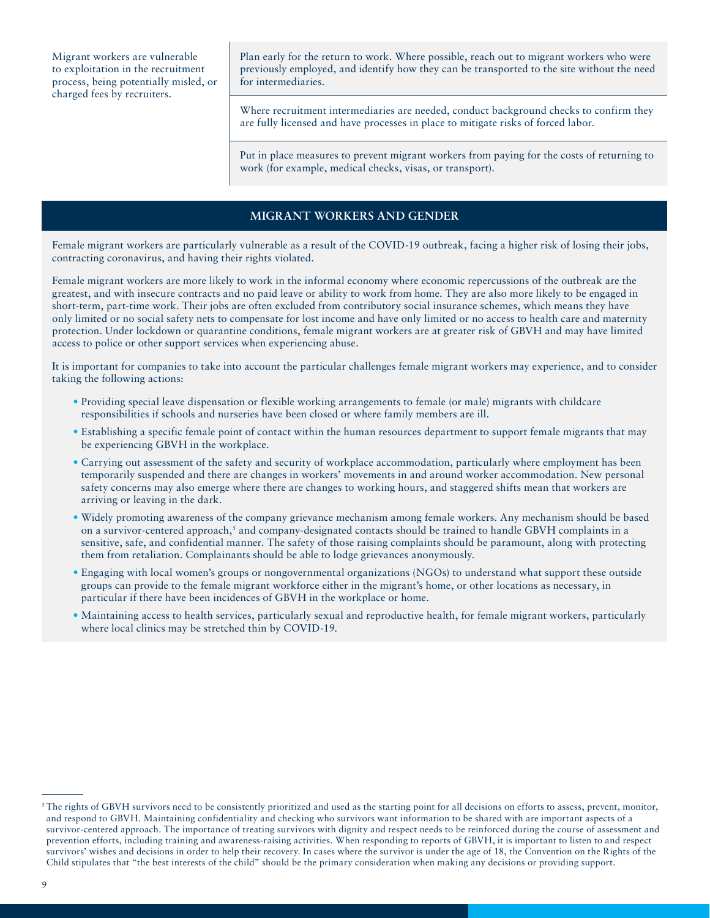Migrant workers are vulnerable to exploitation in the recruitment process, being potentially misled, or charged fees by recruiters.

Plan early for the return to work. Where possible, reach out to migrant workers who were previously employed, and identify how they can be transported to the site without the need for intermediaries.

Where recruitment intermediaries are needed, conduct background checks to confirm they are fully licensed and have processes in place to mitigate risks of forced labor.

Put in place measures to prevent migrant workers from paying for the costs of returning to work (for example, medical checks, visas, or transport).

#### **MIGRANT WORKERS AND GENDER**

Female migrant workers are particularly vulnerable as a result of the COVID-19 outbreak, facing a higher risk of losing their jobs, contracting coronavirus, and having their rights violated.

Female migrant workers are more likely to work in the informal economy where economic repercussions of the outbreak are the greatest, and with insecure contracts and no paid leave or ability to work from home. They are also more likely to be engaged in short-term, part-time work. Their jobs are often excluded from contributory social insurance schemes, which means they have only limited or no social safety nets to compensate for lost income and have only limited or no access to health care and maternity protection. Under lockdown or quarantine conditions, female migrant workers are at greater risk of GBVH and may have limited access to police or other support services when experiencing abuse.

It is important for companies to take into account the particular challenges female migrant workers may experience, and to consider taking the following actions:

- Providing special leave dispensation or flexible working arrangements to female (or male) migrants with childcare responsibilities if schools and nurseries have been closed or where family members are ill.
- Establishing a specific female point of contact within the human resources department to support female migrants that may be experiencing GBVH in the workplace.
- Carrying out assessment of the safety and security of workplace accommodation, particularly where employment has been temporarily suspended and there are changes in workers' movements in and around worker accommodation. New personal safety concerns may also emerge where there are changes to working hours, and staggered shifts mean that workers are arriving or leaving in the dark.
- Widely promoting awareness of the company grievance mechanism among female workers. Any mechanism should be based on a survivor-centered approach,<sup>5</sup> and company-designated contacts should be trained to handle GBVH complaints in a sensitive, safe, and confidential manner. The safety of those raising complaints should be paramount, along with protecting them from retaliation. Complainants should be able to lodge grievances anonymously.
- Engaging with local women's groups or nongovernmental organizations (NGOs) to understand what support these outside groups can provide to the female migrant workforce either in the migrant's home, or other locations as necessary, in particular if there have been incidences of GBVH in the workplace or home.
- Maintaining access to health services, particularly sexual and reproductive health, for female migrant workers, particularly where local clinics may be stretched thin by COVID-19.

 $5$ The rights of GBVH survivors need to be consistently prioritized and used as the starting point for all decisions on efforts to assess, prevent, monitor, and respond to GBVH. Maintaining confidentiality and checking who survivors want information to be shared with are important aspects of a survivor-centered approach. The importance of treating survivors with dignity and respect needs to be reinforced during the course of assessment and prevention efforts, including training and awareness-raising activities. When responding to reports of GBVH, it is important to listen to and respect survivors' wishes and decisions in order to help their recovery. In cases where the survivor is under the age of 18, the Convention on the Rights of the Child stipulates that "the best interests of the child" should be the primary consideration when making any decisions or providing support.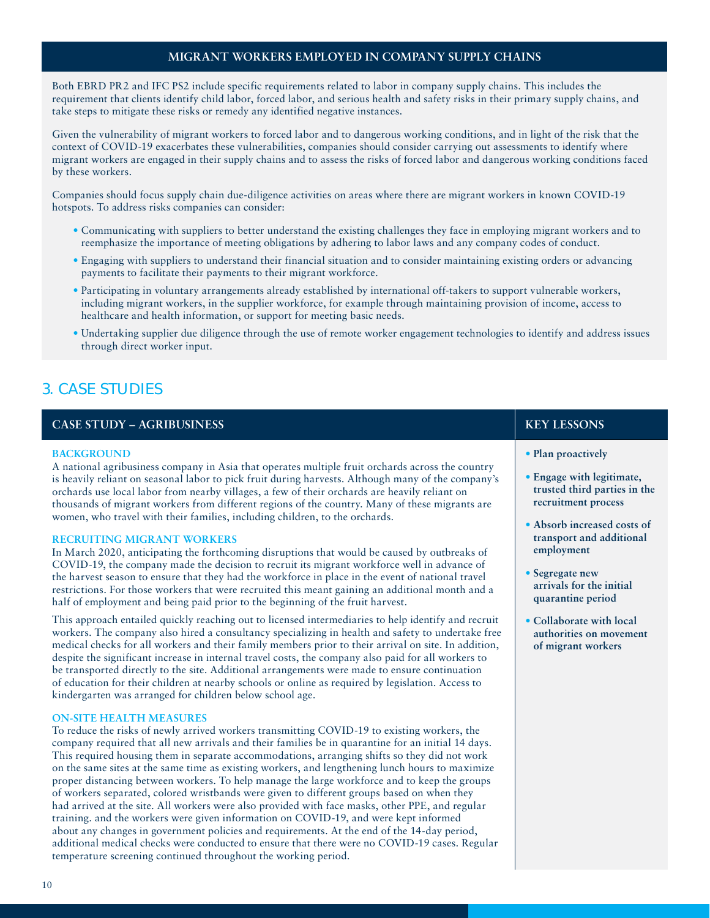### **MIGRANT WORKERS EMPLOYED IN COMPANY SUPPLY CHAINS**

Both EBRD PR2 and IFC PS2 include specific requirements related to labor in company supply chains. This includes the requirement that clients identify child labor, forced labor, and serious health and safety risks in their primary supply chains, and take steps to mitigate these risks or remedy any identified negative instances.

Given the vulnerability of migrant workers to forced labor and to dangerous working conditions, and in light of the risk that the context of COVID-19 exacerbates these vulnerabilities, companies should consider carrying out assessments to identify where migrant workers are engaged in their supply chains and to assess the risks of forced labor and dangerous working conditions faced by these workers.

Companies should focus supply chain due-diligence activities on areas where there are migrant workers in known COVID-19 hotspots. To address risks companies can consider:

- Communicating with suppliers to better understand the existing challenges they face in employing migrant workers and to reemphasize the importance of meeting obligations by adhering to labor laws and any company codes of conduct.
- Engaging with suppliers to understand their financial situation and to consider maintaining existing orders or advancing payments to facilitate their payments to their migrant workforce.
- Participating in voluntary arrangements already established by international off-takers to support vulnerable workers, including migrant workers, in the supplier workforce, for example through maintaining provision of income, access to healthcare and health information, or support for meeting basic needs.
- Undertaking supplier due diligence through the use of remote worker engagement technologies to identify and address issues through direct worker input.

# 3. CASE STUDIES

#### **CASE STUDY – AGRIBUSINESS** KEY LESSONS

#### **BACKGROUND**

A national agribusiness company in Asia that operates multiple fruit orchards across the country is heavily reliant on seasonal labor to pick fruit during harvests. Although many of the company's orchards use local labor from nearby villages, a few of their orchards are heavily reliant on thousands of migrant workers from different regions of the country. Many of these migrants are women, who travel with their families, including children, to the orchards.

#### **RECRUITING MIGRANT WORKERS**

In March 2020, anticipating the forthcoming disruptions that would be caused by outbreaks of COVID-19, the company made the decision to recruit its migrant workforce well in advance of the harvest season to ensure that they had the workforce in place in the event of national travel restrictions. For those workers that were recruited this meant gaining an additional month and a half of employment and being paid prior to the beginning of the fruit harvest.

This approach entailed quickly reaching out to licensed intermediaries to help identify and recruit workers. The company also hired a consultancy specializing in health and safety to undertake free medical checks for all workers and their family members prior to their arrival on site. In addition, despite the significant increase in internal travel costs, the company also paid for all workers to be transported directly to the site. Additional arrangements were made to ensure continuation of education for their children at nearby schools or online as required by legislation. Access to kindergarten was arranged for children below school age.

#### **ON-SITE HEALTH MEASURES**

To reduce the risks of newly arrived workers transmitting COVID-19 to existing workers, the company required that all new arrivals and their families be in quarantine for an initial 14 days. This required housing them in separate accommodations, arranging shifts so they did not work on the same sites at the same time as existing workers, and lengthening lunch hours to maximize proper distancing between workers. To help manage the large workforce and to keep the groups of workers separated, colored wristbands were given to different groups based on when they had arrived at the site. All workers were also provided with face masks, other PPE, and regular training. and the workers were given information on COVID-19, and were kept informed about any changes in government policies and requirements. At the end of the 14-day period, additional medical checks were conducted to ensure that there were no COVID-19 cases. Regular temperature screening continued throughout the working period.

- **Plan proactively**
- **Engage with legitimate, trusted third parties in the recruitment process**
- **Absorb increased costs of transport and additional employment**
- **Segregate new arrivals for the initial quarantine period**
- **Collaborate with local authorities on movement of migrant workers**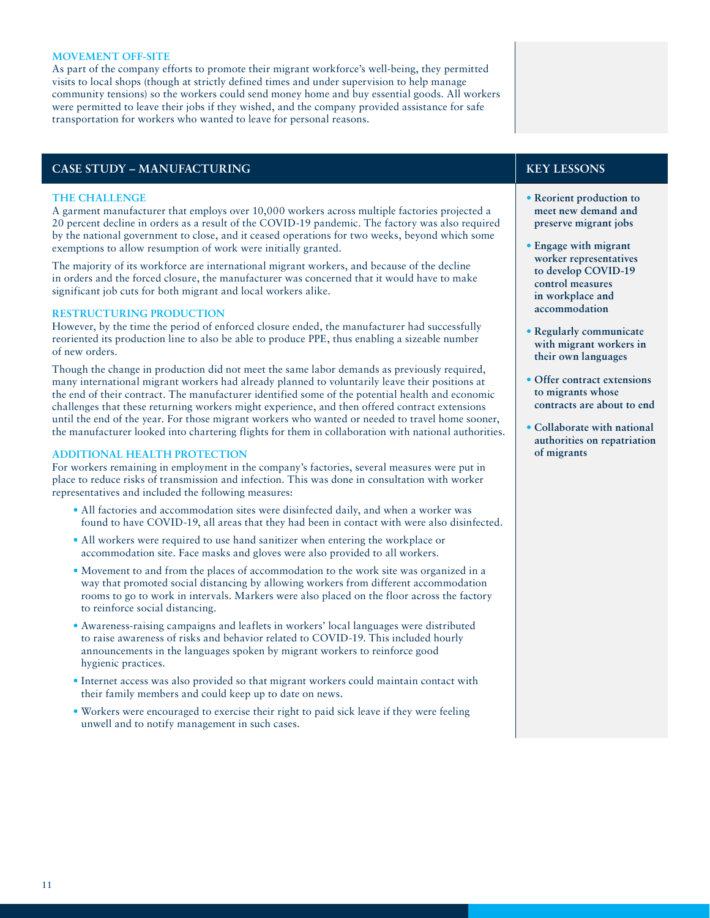#### **MOVEMENT OFF-SITE**

As part of the company efforts to promote their migrant workforce's well-being, they permitted visits to local shops (though at strictly defined times and under supervision to help manage community tensions) so the workers could send money home and buy essential goods. All workers were permitted to leave their jobs if they wished, and the company provided assistance for safe transportation for workers who wanted to leave for personal reasons.

#### **CASE STUDY – MANUFACTURING KEY LESSONS**

#### **THE CHALLENGE**

A garment manufacturer that employs over 10,000 workers across multiple factories projected a 20 percent decline in orders as a result of the COVID-19 pandemic. The factory was also required by the national government to close, and it ceased operations for two weeks, beyond which some exemptions to allow resumption of work were initially granted.

The majority of its workforce are international migrant workers, and because of the decline in orders and the forced closure, the manufacturer was concerned that it would have to make significant job cuts for both migrant and local workers alike.

#### **RESTRUCTURING PRODUCTION**

However, by the time the period of enforced closure ended, the manufacturer had successfully reoriented its production line to also be able to produce PPE, thus enabling a sizeable number of new orders.

Though the change in production did not meet the same labor demands as previously required, many international migrant workers had already planned to voluntarily leave their positions at the end of their contract. The manufacturer identified some of the potential health and economic challenges that these returning workers might experience, and then offered contract extensions until the end of the year. For those migrant workers who wanted or needed to travel home sooner, the manufacturer looked into chartering flights for them in collaboration with national authorities.

#### **ADDITIONAL HEALTH PROTECTION**

For workers remaining in employment in the company's factories, several measures were put in place to reduce risks of transmission and infection. This was done in consultation with worker representatives and included the following measures:

- All factories and accommodation sites were disinfected daily, and when a worker was found to have COVID-19, all areas that they had been in contact with were also disinfected.
- All workers were required to use hand sanitizer when entering the workplace or accommodation site. Face masks and gloves were also provided to all workers.
- Movement to and from the places of accommodation to the work site was organized in a way that promoted social distancing by allowing workers from different accommodation rooms to go to work in intervals. Markers were also placed on the floor across the factory to reinforce social distancing.
- Awareness-raising campaigns and leaflets in workers' local languages were distributed to raise awareness of risks and behavior related to COVID-19. This included hourly announcements in the languages spoken by migrant workers to reinforce good hygienic practices.
- Internet access was also provided so that migrant workers could maintain contact with their family members and could keep up to date on news.
- Workers were encouraged to exercise their right to paid sick leave if they were feeling unwell and to notify management in such cases.

- **Reorient production to meet new demand and preserve migrant jobs**
- **Engage with migrant worker representatives to develop COVID-19 control measures in workplace and accommodation**
- **Regularly communicate with migrant workers in their own languages**
- **Offer contract extensions to migrants whose contracts are about to end**
- **Collaborate with national authorities on repatriation of migrants**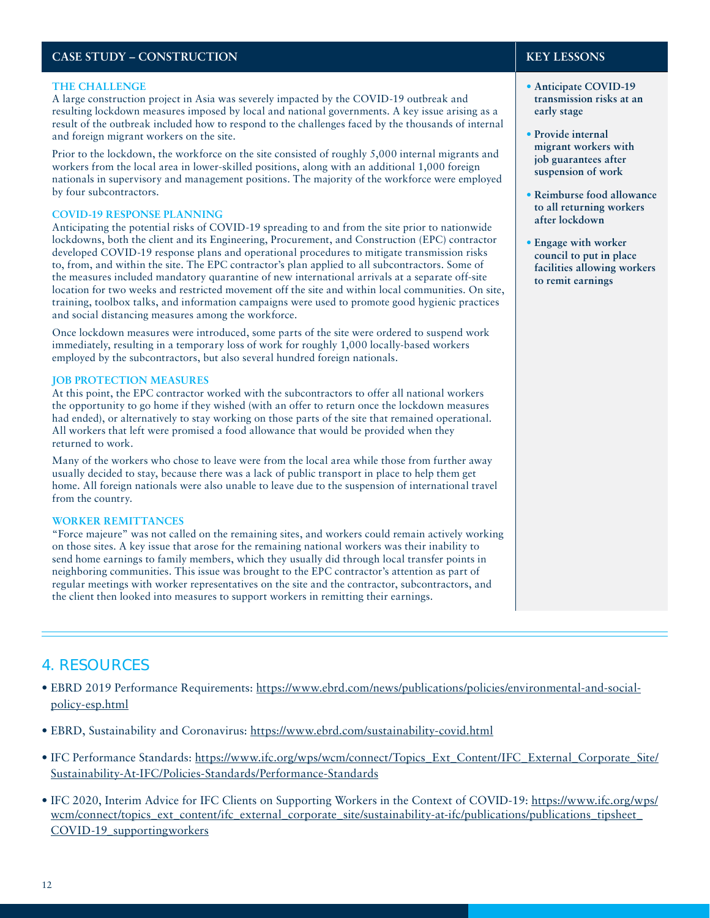# **CASE STUDY – CONSTRUCTION EXAMPLE 2008**

#### **THE CHALLENGE**

A large construction project in Asia was severely impacted by the COVID-19 outbreak and resulting lockdown measures imposed by local and national governments. A key issue arising as a result of the outbreak included how to respond to the challenges faced by the thousands of internal and foreign migrant workers on the site.

Prior to the lockdown, the workforce on the site consisted of roughly 5,000 internal migrants and workers from the local area in lower-skilled positions, along with an additional 1,000 foreign nationals in supervisory and management positions. The majority of the workforce were employed by four subcontractors.

#### **COVID-19 RESPONSE PLANNING**

Anticipating the potential risks of COVID-19 spreading to and from the site prior to nationwide lockdowns, both the client and its Engineering, Procurement, and Construction (EPC) contractor developed COVID-19 response plans and operational procedures to mitigate transmission risks to, from, and within the site. The EPC contractor's plan applied to all subcontractors. Some of the measures included mandatory quarantine of new international arrivals at a separate off-site location for two weeks and restricted movement off the site and within local communities. On site, training, toolbox talks, and information campaigns were used to promote good hygienic practices and social distancing measures among the workforce.

Once lockdown measures were introduced, some parts of the site were ordered to suspend work immediately, resulting in a temporary loss of work for roughly 1,000 locally-based workers employed by the subcontractors, but also several hundred foreign nationals.

#### **JOB PROTECTION MEASURES**

At this point, the EPC contractor worked with the subcontractors to offer all national workers the opportunity to go home if they wished (with an offer to return once the lockdown measures had ended), or alternatively to stay working on those parts of the site that remained operational. All workers that left were promised a food allowance that would be provided when they returned to work.

Many of the workers who chose to leave were from the local area while those from further away usually decided to stay, because there was a lack of public transport in place to help them get home. All foreign nationals were also unable to leave due to the suspension of international travel from the country.

#### **WORKER REMITTANCES**

"Force majeure" was not called on the remaining sites, and workers could remain actively working on those sites. A key issue that arose for the remaining national workers was their inability to send home earnings to family members, which they usually did through local transfer points in neighboring communities. This issue was brought to the EPC contractor's attention as part of regular meetings with worker representatives on the site and the contractor, subcontractors, and the client then looked into measures to support workers in remitting their earnings.

- **• Anticipate COVID-19 transmission risks at an early stage**
- **• Provide internal migrant workers with job guarantees after suspension of work**
- **• Reimburse food allowance to all returning workers after lockdown**
- **• Engage with worker council to put in place facilities allowing workers to remit earnings**

# 4. RESOURCES

- EBRD 2019 Performance Requirements: [https://www.ebrd.com/news/publications/policies/environmental-and-social](https://www.ebrd.com/news/publications/policies/environmental-and-social-policy-esp.html)[policy-esp.html](https://www.ebrd.com/news/publications/policies/environmental-and-social-policy-esp.html)
- EBRD, Sustainability and Coronavirus:<https://www.ebrd.com/sustainability-covid.html>
- IFC Performance Standards: [https://www.ifc.org/wps/wcm/connect/Topics\\_Ext\\_Content/IFC\\_External\\_Corporate\\_Site/](https://www.ifc.org/wps/wcm/connect/Topics_Ext_Content/IFC_External_Corporate_Site/Sustainability-At-IFC/Policies-Standards/Performance-Standards) [Sustainability-At-IFC/Policies-Standards/Performance-Standards](https://www.ifc.org/wps/wcm/connect/Topics_Ext_Content/IFC_External_Corporate_Site/Sustainability-At-IFC/Policies-Standards/Performance-Standards)
- IFC 2020, Interim Advice for IFC Clients on Supporting Workers in the Context of COVID-19: [https://www.ifc.org/wps/](https://www.ifc.org/wps/wcm/connect/topics_ext_content/ifc_external_corporate_site/sustainability-at-ifc/publications/publications_tipsheet_COVID-19_supportingworkers) wcm/connect/topics\_ext\_content/ifc\_external\_corporate\_site/sustainability-at-ifc/publications/publications\_tipsheet [COVID-19\\_supportingworkers](https://www.ifc.org/wps/wcm/connect/topics_ext_content/ifc_external_corporate_site/sustainability-at-ifc/publications/publications_tipsheet_COVID-19_supportingworkers)